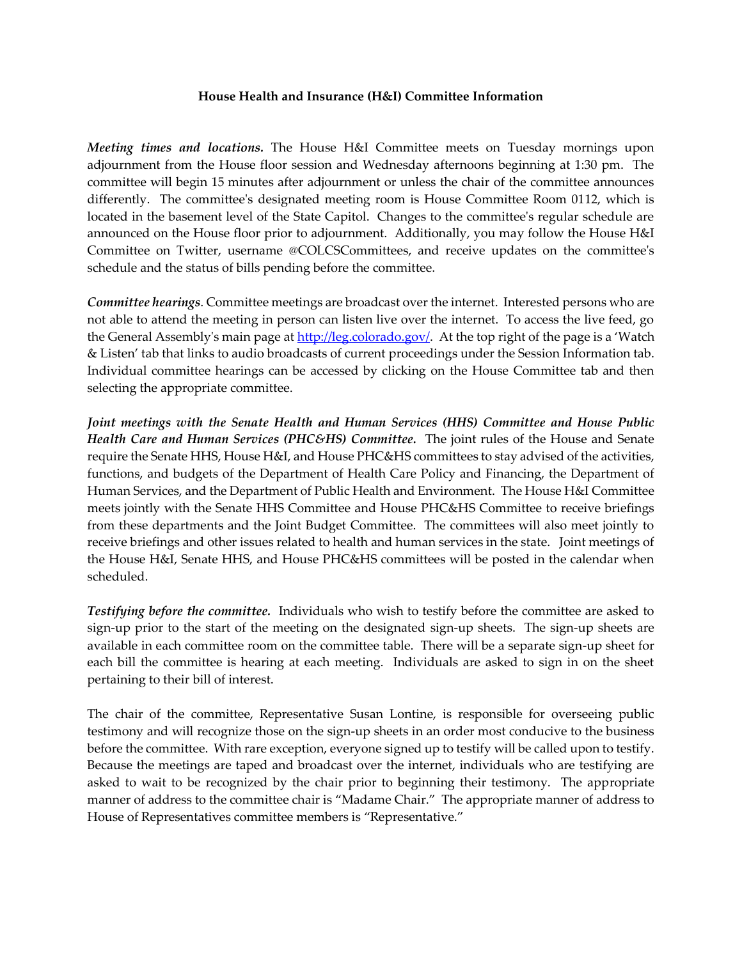## **House Health and Insurance (H&I) Committee Information**

*Meeting times and locations.* The House H&I Committee meets on Tuesday mornings upon adjournment from the House floor session and Wednesday afternoons beginning at 1:30 pm. The committee will begin 15 minutes after adjournment or unless the chair of the committee announces differently. The committee's designated meeting room is House Committee Room 0112, which is located in the basement level of the State Capitol. Changes to the committee's regular schedule are announced on the House floor prior to adjournment. Additionally, you may follow the House H&I Committee on Twitter, username @COLCSCommittees, and receive updates on the committee's schedule and the status of bills pending before the committee.

*Committee hearings*. Committee meetings are broadcast over the internet. Interested persons who are not able to attend the meeting in person can listen live over the internet. To access the live feed, go the General Assembly's main page at [http://leg.colorado.gov/.](http://leg.colorado.gov/) At the top right of the page is a 'Watch & Listen' tab that links to audio broadcasts of current proceedings under the Session Information tab. Individual committee hearings can be accessed by clicking on the House Committee tab and then selecting the appropriate committee.

*Joint meetings with the Senate Health and Human Services (HHS) Committee and House Public Health Care and Human Services (PHC&HS) Committee.* The joint rules of the House and Senate require the Senate HHS, House H&I, and House PHC&HS committees to stay advised of the activities, functions, and budgets of the Department of Health Care Policy and Financing, the Department of Human Services, and the Department of Public Health and Environment. The House H&I Committee meets jointly with the Senate HHS Committee and House PHC&HS Committee to receive briefings from these departments and the Joint Budget Committee. The committees will also meet jointly to receive briefings and other issues related to health and human services in the state. Joint meetings of the House H&I, Senate HHS, and House PHC&HS committees will be posted in the calendar when scheduled.

*Testifying before the committee.* Individuals who wish to testify before the committee are asked to sign-up prior to the start of the meeting on the designated sign-up sheets. The sign-up sheets are available in each committee room on the committee table. There will be a separate sign-up sheet for each bill the committee is hearing at each meeting. Individuals are asked to sign in on the sheet pertaining to their bill of interest.

The chair of the committee, Representative Susan Lontine, is responsible for overseeing public testimony and will recognize those on the sign-up sheets in an order most conducive to the business before the committee. With rare exception, everyone signed up to testify will be called upon to testify. Because the meetings are taped and broadcast over the internet, individuals who are testifying are asked to wait to be recognized by the chair prior to beginning their testimony. The appropriate manner of address to the committee chair is "Madame Chair." The appropriate manner of address to House of Representatives committee members is "Representative."